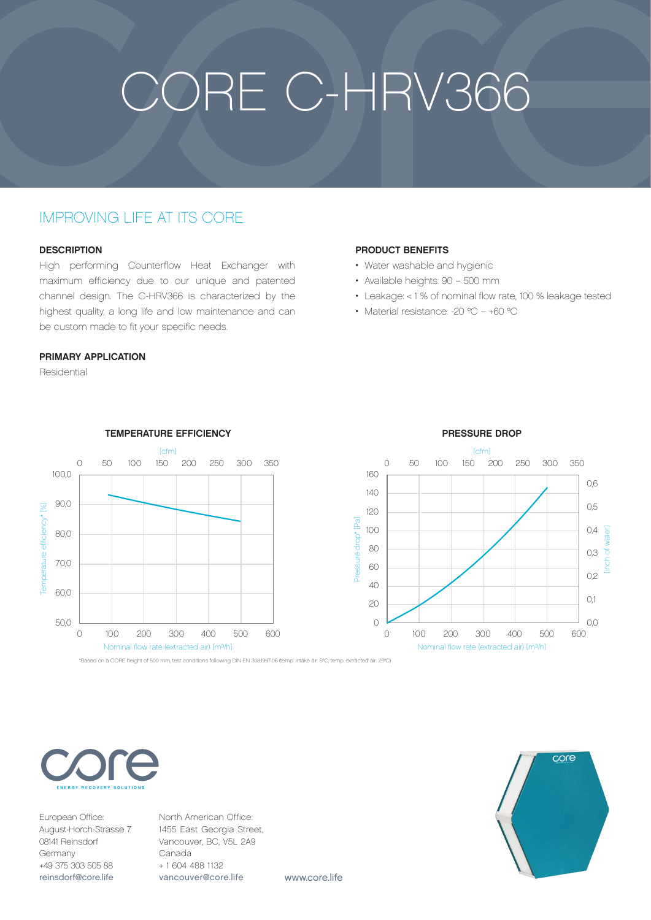# CORE C-HRV366

## IMPROVING LIFE AT ITS CORE

#### **DESCRIPTION**

High performing Counterflow Heat Exchanger with maximum efficiency due to our unique and patented channel design. The C-HRV366 is characterized by the highest quality, a long life and low maintenance and can be custom made to fit your specific needs.

#### PRIMARY APPLICATION

Residential



#### TEMPERATURE EFFICIENCY

#### PRODUCT BENEFITS

- Water washable and hygienic
- Available heights: 90 500 mm
- Leakage: < 1 % of nominal flow rate, 100 % leakage tested
- Material resistance: -20 °C +60 °C



European Office: August-Horch-Strasse 7 08141 Reinsdorf Germany +49 375 303 505 88 reinsdorf@core.life

North American Office: 1455 East Georgia Street, Vancouver, BC, V5L 2A9 Canada + 1 604 488 1132 vancouver@core.life

www.core.life